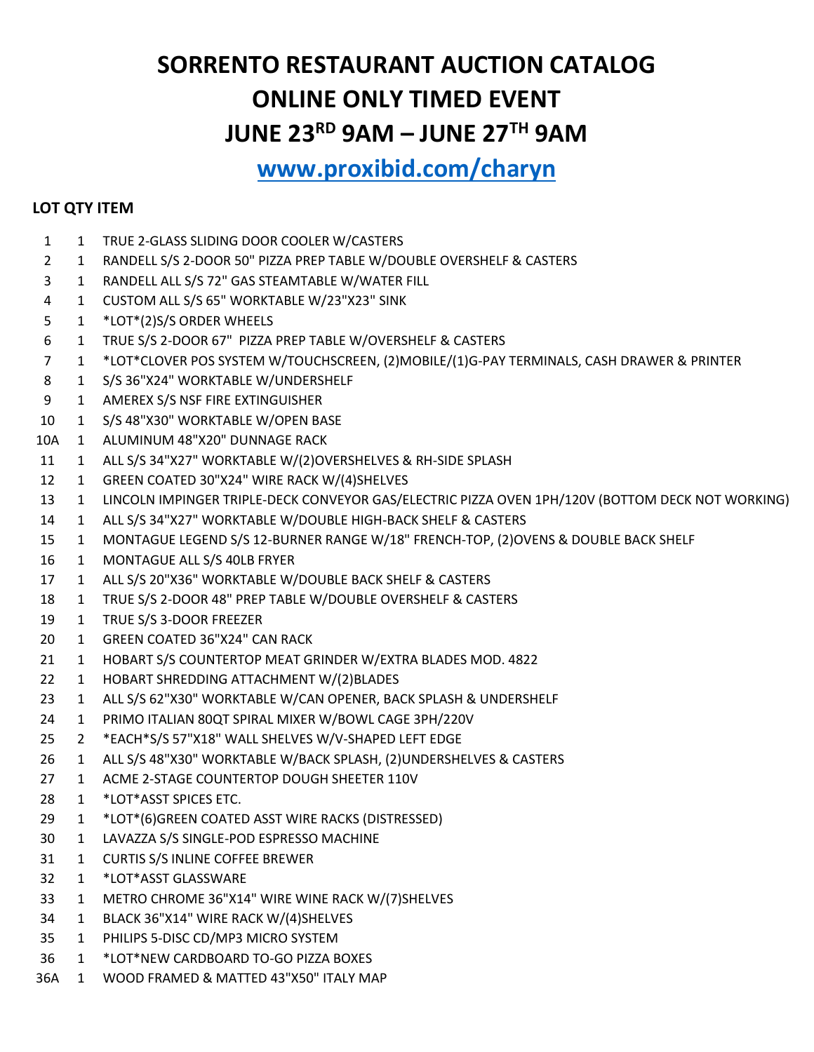## **SORRENTO RESTAURANT AUCTION CATALOG ONLINE ONLY TIMED EVENT JUNE 23RD 9AM – JUNE 27TH 9AM**

## **[www.proxibid.com/charyn](http://www.proxibid.com/charyn)**

## **LOT QTY ITEM**

- 1 TRUE 2-GLASS SLIDING DOOR COOLER W/CASTERS
- 1 RANDELL S/S 2-DOOR 50" PIZZA PREP TABLE W/DOUBLE OVERSHELF & CASTERS
- 1 RANDELL ALL S/S 72" GAS STEAMTABLE W/WATER FILL
- 1 CUSTOM ALL S/S 65" WORKTABLE W/23"X23" SINK
- 1 \*LOT\*(2)S/S ORDER WHEELS
- 1 TRUE S/S 2-DOOR 67" PIZZA PREP TABLE W/OVERSHELF & CASTERS
- 1 \*LOT\*CLOVER POS SYSTEM W/TOUCHSCREEN, (2)MOBILE/(1)G-PAY TERMINALS, CASH DRAWER & PRINTER
- 1 S/S 36"X24" WORKTABLE W/UNDERSHELF
- 1 AMEREX S/S NSF FIRE EXTINGUISHER
- 1 S/S 48"X30" WORKTABLE W/OPEN BASE
- 10A 1 ALUMINUM 48"X20" DUNNAGE RACK
- 11 1 ALL S/S 34"X27" WORKTABLE W/(2)OVERSHELVES & RH-SIDE SPLASH
- 12 1 GREEN COATED 30"X24" WIRE RACK W/(4)SHELVES
- 1 LINCOLN IMPINGER TRIPLE-DECK CONVEYOR GAS/ELECTRIC PIZZA OVEN 1PH/120V (BOTTOM DECK NOT WORKING)
- 1 ALL S/S 34"X27" WORKTABLE W/DOUBLE HIGH-BACK SHELF & CASTERS
- 1 MONTAGUE LEGEND S/S 12-BURNER RANGE W/18" FRENCH-TOP, (2)OVENS & DOUBLE BACK SHELF
- 1 MONTAGUE ALL S/S 40LB FRYER
- 1 ALL S/S 20"X36" WORKTABLE W/DOUBLE BACK SHELF & CASTERS
- 18 1 TRUE S/S 2-DOOR 48" PREP TABLE W/DOUBLE OVERSHELF & CASTERS
- 19 1 TRUE S/S 3-DOOR FREEZER
- 1 GREEN COATED 36"X24" CAN RACK
- 21 1 HOBART S/S COUNTERTOP MEAT GRINDER W/EXTRA BLADES MOD. 4822
- 1 HOBART SHREDDING ATTACHMENT W/(2)BLADES
- 1 ALL S/S 62"X30" WORKTABLE W/CAN OPENER, BACK SPLASH & UNDERSHELF
- 1 PRIMO ITALIAN 80QT SPIRAL MIXER W/BOWL CAGE 3PH/220V
- 2 \*EACH\*S/S 57"X18" WALL SHELVES W/V-SHAPED LEFT EDGE
- 1 ALL S/S 48"X30" WORKTABLE W/BACK SPLASH, (2)UNDERSHELVES & CASTERS
- 27 1 ACME 2-STAGE COUNTERTOP DOUGH SHEETER 110V
- 1 \*LOT\*ASST SPICES ETC.
- 1 \*LOT\*(6)GREEN COATED ASST WIRE RACKS (DISTRESSED)
- 1 LAVAZZA S/S SINGLE-POD ESPRESSO MACHINE
- 1 CURTIS S/S INLINE COFFEE BREWER
- 1 \*LOT\*ASST GLASSWARE
- 1 METRO CHROME 36"X14" WIRE WINE RACK W/(7)SHELVES
- 1 BLACK 36"X14" WIRE RACK W/(4)SHELVES
- 1 PHILIPS 5-DISC CD/MP3 MICRO SYSTEM
- 1 \*LOT\*NEW CARDBOARD TO-GO PIZZA BOXES
- 36A 1 WOOD FRAMED & MATTED 43"X50" ITALY MAP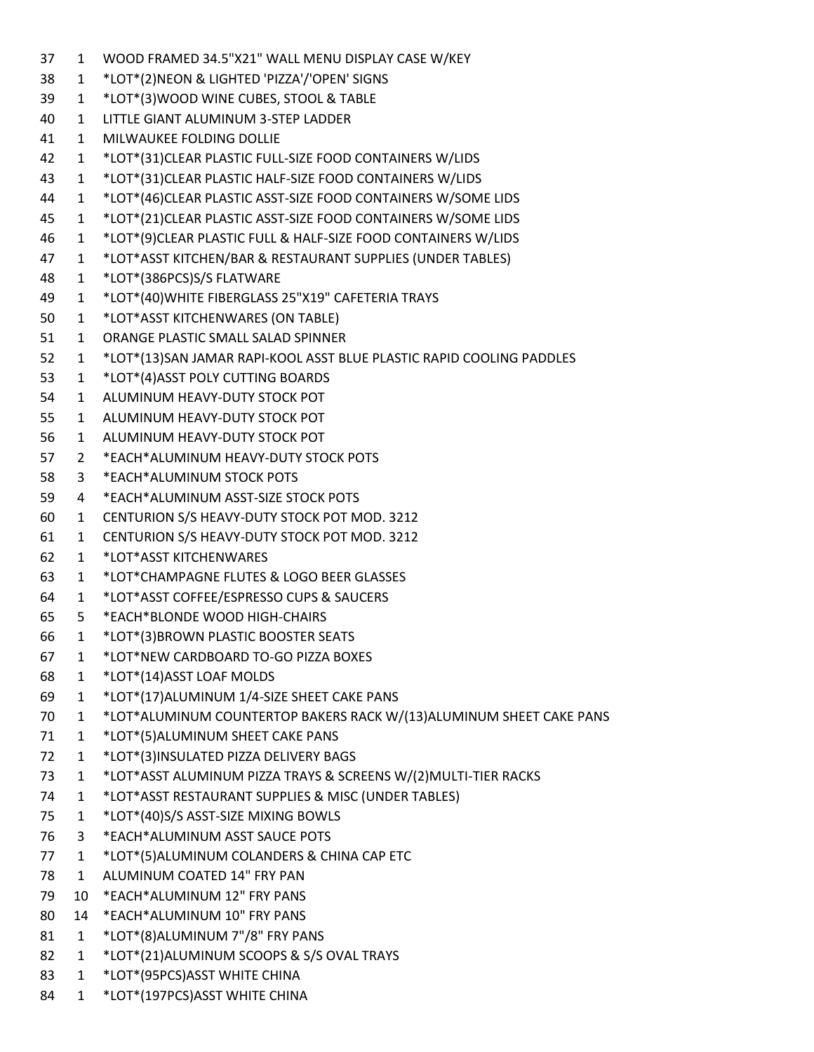1 WOOD FRAMED 34.5"X21" WALL MENU DISPLAY CASE W/KEY 1 \*LOT\*(2)NEON & LIGHTED 'PIZZA'/'OPEN' SIGNS 1 \*LOT\*(3)WOOD WINE CUBES, STOOL & TABLE 1 LITTLE GIANT ALUMINUM 3-STEP LADDER 1 MILWAUKEE FOLDING DOLLIE 1 \*LOT\*(31)CLEAR PLASTIC FULL-SIZE FOOD CONTAINERS W/LIDS 1 \*LOT\*(31)CLEAR PLASTIC HALF-SIZE FOOD CONTAINERS W/LIDS 1 \*LOT\*(46)CLEAR PLASTIC ASST-SIZE FOOD CONTAINERS W/SOME LIDS 1 \*LOT\*(21)CLEAR PLASTIC ASST-SIZE FOOD CONTAINERS W/SOME LIDS 1 \*LOT\*(9)CLEAR PLASTIC FULL & HALF-SIZE FOOD CONTAINERS W/LIDS 1 \*LOT\*ASST KITCHEN/BAR & RESTAURANT SUPPLIES (UNDER TABLES) 1 \*LOT\*(386PCS)S/S FLATWARE 1 \*LOT\*(40)WHITE FIBERGLASS 25"X19" CAFETERIA TRAYS 1 \*LOT\*ASST KITCHENWARES (ON TABLE) 1 ORANGE PLASTIC SMALL SALAD SPINNER 1 \*LOT\*(13)SAN JAMAR RAPI-KOOL ASST BLUE PLASTIC RAPID COOLING PADDLES 1 \*LOT\*(4)ASST POLY CUTTING BOARDS 1 ALUMINUM HEAVY-DUTY STOCK POT 1 ALUMINUM HEAVY-DUTY STOCK POT 1 ALUMINUM HEAVY-DUTY STOCK POT 2 \*EACH\*ALUMINUM HEAVY-DUTY STOCK POTS 3 \*EACH\*ALUMINUM STOCK POTS 4 \*EACH\*ALUMINUM ASST-SIZE STOCK POTS 1 CENTURION S/S HEAVY-DUTY STOCK POT MOD. 3212 1 CENTURION S/S HEAVY-DUTY STOCK POT MOD. 3212 1 \*LOT\*ASST KITCHENWARES 1 \*LOT\*CHAMPAGNE FLUTES & LOGO BEER GLASSES 1 \*LOT\*ASST COFFEE/ESPRESSO CUPS & SAUCERS 5 \*EACH\*BLONDE WOOD HIGH-CHAIRS 1 \*LOT\*(3)BROWN PLASTIC BOOSTER SEATS 1 \*LOT\*NEW CARDBOARD TO-GO PIZZA BOXES 1 \*LOT\*(14)ASST LOAF MOLDS 1 \*LOT\*(17)ALUMINUM 1/4-SIZE SHEET CAKE PANS 1 \*LOT\*ALUMINUM COUNTERTOP BAKERS RACK W/(13)ALUMINUM SHEET CAKE PANS 71 1 \*LOT\*(5)ALUMINUM SHEET CAKE PANS 1 \*LOT\*(3)INSULATED PIZZA DELIVERY BAGS 1 \*LOT\*ASST ALUMINUM PIZZA TRAYS & SCREENS W/(2)MULTI-TIER RACKS 1 \*LOT\*ASST RESTAURANT SUPPLIES & MISC (UNDER TABLES) 1 \*LOT\*(40)S/S ASST-SIZE MIXING BOWLS 3 \*EACH\*ALUMINUM ASST SAUCE POTS 1 \*LOT\*(5)ALUMINUM COLANDERS & CHINA CAP ETC 1 ALUMINUM COATED 14" FRY PAN 10 \*EACH\*ALUMINUM 12" FRY PANS 14 \*EACH\*ALUMINUM 10" FRY PANS 81 1 \*LOT\*(8)ALUMINUM 7"/8" FRY PANS 1 \*LOT\*(21)ALUMINUM SCOOPS & S/S OVAL TRAYS 1 \*LOT\*(95PCS)ASST WHITE CHINA 1 \*LOT\*(197PCS)ASST WHITE CHINA